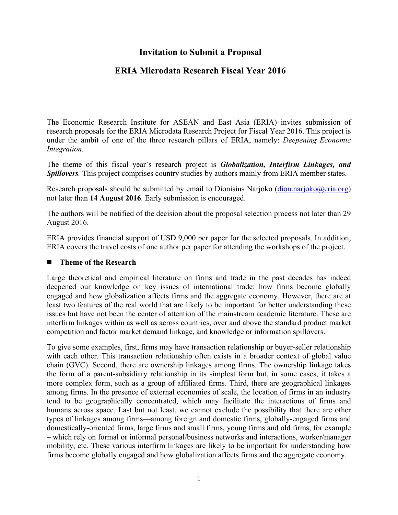# **Invitation to Submit a Proposal**

# **ERIA Microdata Research Fiscal Year 2016**

The Economic Research Institute for ASEAN and East Asia (ERIA) invites submission of research proposals for the ERIA Microdata Research Project for Fiscal Year 2016. This project is under the ambit of one of the three research pillars of ERIA, namely: *Deepening Economic Integration.*

The theme of this fiscal year's research project is *Globalization, Interfirm Linkages, and Spillovers.* This project comprises country studies by authors mainly from ERIA member states.

Research proposals should be submitted by email to Dionisius Narjoko (dion.narjoko@eria.org) not later than **14 August 2016**. Early submission is encouraged.

The authors will be notified of the decision about the proposal selection process not later than 29 August 2016.

ERIA provides financial support of USD 9,000 per paper for the selected proposals. In addition, ERIA covers the travel costs of one author per paper for attending the workshops of the project.

#### ■ Theme of the Research

Large theoretical and empirical literature on firms and trade in the past decades has indeed deepened our knowledge on key issues of international trade: how firms become globally engaged and how globalization affects firms and the aggregate economy. However, there are at least two features of the real world that are likely to be important for better understanding these issues but have not been the center of attention of the mainstream academic literature. These are interfirm linkages within as well as across countries, over and above the standard product market competition and factor market demand linkage, and knowledge or information spillovers.

To give some examples, first, firms may have transaction relationship or buyer-seller relationship with each other. This transaction relationship often exists in a broader context of global value chain (GVC). Second, there are ownership linkages among firms. The ownership linkage takes the form of a parent-subsidiary relationship in its simplest form but, in some cases, it takes a more complex form, such as a group of affiliated firms. Third, there are geographical linkages among firms. In the presence of external economies of scale, the location of firms in an industry tend to be geographically concentrated, which may facilitate the interactions of firms and humans across space. Last but not least, we cannot exclude the possibility that there are other types of linkages among firms—among foreign and domestic firms, globally-engaged firms and domestically-oriented firms, large firms and small firms, young firms and old firms, for example – which rely on formal or informal personal/business networks and interactions, worker/manager mobility, etc. These various interfirm linkages are likely to be important for understanding how firms become globally engaged and how globalization affects firms and the aggregate economy.